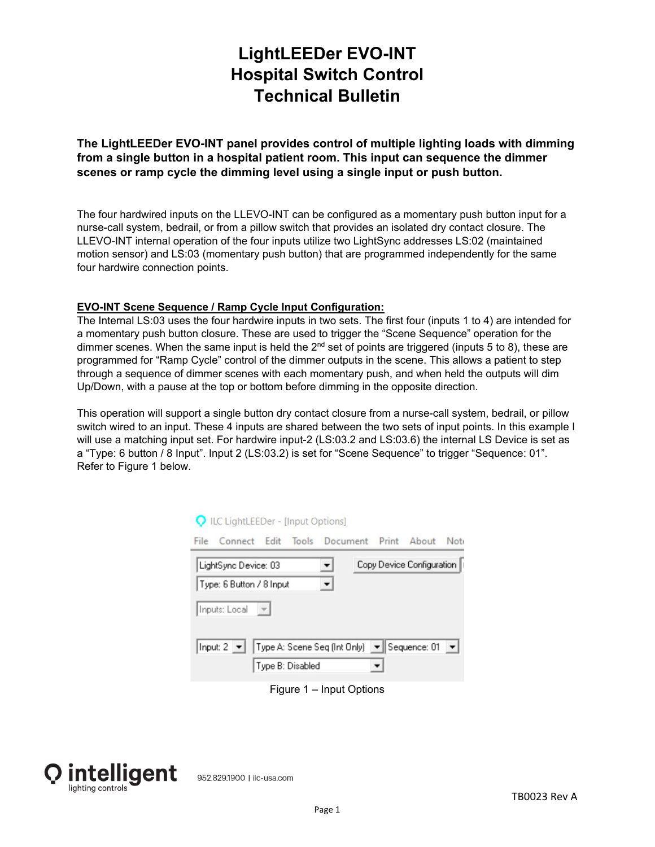# **LightLEEDer EVO-INT Hospital Switch Control Technical Bulletin**

**The LightLEEDer EVO-INT panel provides control of multiple lighting loads with dimming from a single button in a hospital patient room. This input can sequence the dimmer scenes or ramp cycle the dimming level using a single input or push button.** 

The four hardwired inputs on the LLEVO-INT can be configured as a momentary push button input for a nurse-call system, bedrail, or from a pillow switch that provides an isolated dry contact closure. The LLEVO-INT internal operation of the four inputs utilize two LightSync addresses LS:02 (maintained motion sensor) and LS:03 (momentary push button) that are programmed independently for the same four hardwire connection points.

#### **EVO-INT Scene Sequence / Ramp Cycle Input Configuration:**

The Internal LS:03 uses the four hardwire inputs in two sets. The first four (inputs 1 to 4) are intended for a momentary push button closure. These are used to trigger the "Scene Sequence" operation for the dimmer scenes. When the same input is held the  $2<sup>nd</sup>$  set of points are triggered (inputs 5 to 8), these are programmed for "Ramp Cycle" control of the dimmer outputs in the scene. This allows a patient to step through a sequence of dimmer scenes with each momentary push, and when held the outputs will dim Up/Down, with a pause at the top or bottom before dimming in the opposite direction.

This operation will support a single button dry contact closure from a nurse-call system, bedrail, or pillow switch wired to an input. These 4 inputs are shared between the two sets of input points. In this example I will use a matching input set. For hardwire input-2 (LS:03.2 and LS:03.6) the internal LS Device is set as a "Type: 6 button / 8 Input". Input 2 (LS:03.2) is set for "Scene Sequence" to trigger "Sequence: 01". Refer to Figure 1 below.

| Q ILC LightLEEDer - [Input Options]                           |  |                           |  |
|---------------------------------------------------------------|--|---------------------------|--|
| Connect Edit Tools Document Print About Not<br>File           |  |                           |  |
| LightSync Device: 03                                          |  | Copy Device Configuration |  |
| Type: 6 Button / 8 Input                                      |  |                           |  |
| Inputs: Local                                                 |  |                           |  |
| Input: 2 ▼   Type A: Scene Seq (Int Only) ▼    Sequence: 01 ▼ |  |                           |  |
| Type B: Disabled                                              |  |                           |  |

Figure 1 – Input Options

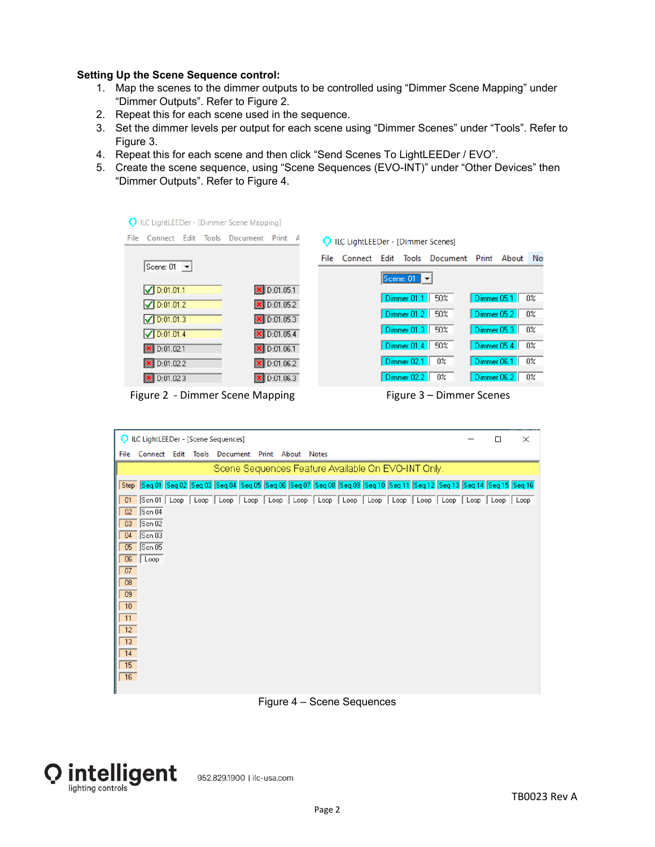#### **Setting Up the Scene Sequence control:**

- 1. Map the scenes to the dimmer outputs to be controlled using "Dimmer Scene Mapping" under "Dimmer Outputs". Refer to Figure 2.
- 2. Repeat this for each scene used in the sequence.
- 3. Set the dimmer levels per output for each scene using "Dimmer Scenes" under "Tools". Refer to Figure 3.
- 4. Repeat this for each scene and then click "Send Scenes To LightLEEDer / EVO".
- 5. Create the scene sequence, using "Scene Sequences (EVO-INT)" under "Other Devices" then "Dimmer Outputs". Refer to Figure 4.

| Connect Edit<br>Tools             | Document Print A                        |      | ILC LightLEEDer - [Dimmer Scenes] |      |                 |                                |             |    |
|-----------------------------------|-----------------------------------------|------|-----------------------------------|------|-----------------|--------------------------------|-------------|----|
| Scene: $01 - $                    |                                         | File | Connect                           | Edit |                 | Tools Document Print About Not |             |    |
|                                   |                                         |      |                                   |      | Scene: $01 - 7$ |                                |             |    |
| $\triangledown$ D:01.01.1         | D:01.05.1                               |      |                                   |      | Dimmer 01.1     | 50%                            | Dimmer 05.1 | 0% |
| $\n  <$ D:01.01.2                 | X D:01.05.2                             |      |                                   |      | Dimmer 01.2 50% |                                | Dimmer 05.2 | 0% |
| $\n  <$ D:01.01.3                 | $\vert$ D:01.05.3                       |      |                                   |      | Dimmer 01.3     | 50%                            | Dimmer 05.3 | 0% |
| $\n  <$ D:01.01.4                 | × D:01.05.4                             |      |                                   |      | Dimmer 01.4     | 50%                            | Dimmer 05.4 | 0% |
| × D:01.02.1                       | D:01.06.1                               |      |                                   |      | Dimmer 02.1     | 0%                             | Dimmer 06.1 | 0% |
| × D:01.02.2<br>$\times$ D:01.02.3 | $\triangleright$ D:01.06.2<br>D:01.06.3 |      |                                   |      | Dimmer 02.2     | 0%                             | Dimmer 06.2 | 0% |

Figure 2 ‐ Dimmer Scene Mapping Figure 3 – Dimmer Scenes

| ILC LightLEEDer - [Scene Sequences]                                                                                                  |  | $\times$ |
|--------------------------------------------------------------------------------------------------------------------------------------|--|----------|
| Connect Edit Tools Document Print About Notes<br>File                                                                                |  |          |
| Scene Sequences Feature Available On EVO-INT Only.                                                                                   |  |          |
| Step  Seq 01  Seq 02  Seq 03  Seq 04  Seq 05  Seq 06  Seq 07  Seq 08  Seq 09  Seq 10  Seq 11  Seq 11  Seq 13  Seq 14  Seq 15  Seq 16 |  |          |
| 01<br>Scn 04<br>02<br>Scn 02<br>03<br>$Scn$ 03<br>04<br>Scn05<br>05<br>06<br>Loop<br>07<br>08<br>09<br>10<br>11<br>12                |  |          |
| 13<br>14                                                                                                                             |  |          |
| 15<br>$\sqrt{16}$                                                                                                                    |  |          |

### Figure 4 – Scene Sequences